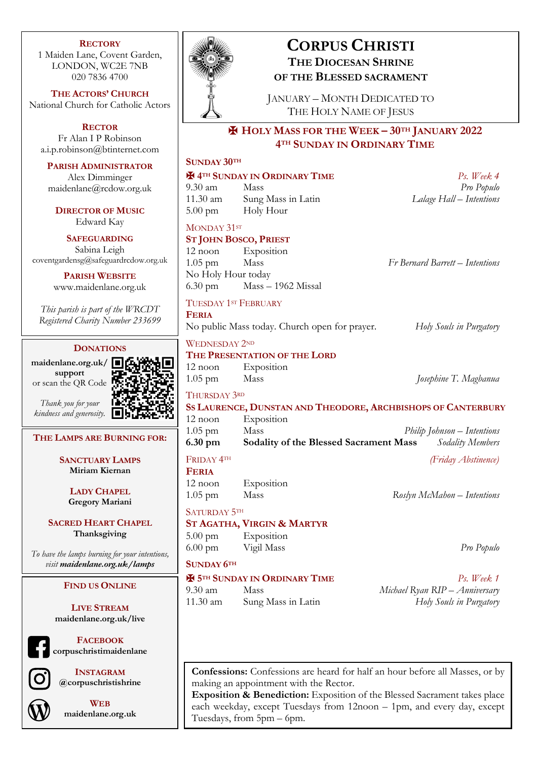### **RECTORY**

1 Maiden Lane, Covent Garden, LONDON, WC2E 7NB 020 7836 4700

**THE ACTORS' CHURCH** National Church for Catholic Actors

**RECTOR** Fr Alan I P Robinson a.i.p.robinson@btinternet.com

**PARISH ADMINISTRATOR** Alex Dimminger

maidenlane@rcdow.org.uk

**DIRECTOR OF MUSIC** Edward Kay

**SAFEGUARDING** Sabina Leigh coventgardensg@safeguardrcdow.org.uk

> **PARISH WEBSITE** www.maidenlane.org.uk

*This parish is part of the WRCDT Registered Charity Number 233699*

### **DONATIONS**

**maidenlane.org.uk/ support** or scan the QR Code



*Thank you for your kindness and generosity.*

**THE LAMPS ARE BURNING FOR:**

**SANCTUARY LAMPS Miriam Kiernan**

> **LADY CHAPEL Gregory Mariani**

**SACRED HEART CHAPEL Thanksgiving**

*To have the lamps burning for your intentions, visit maidenlane.org.uk/lamps*

### **FIND US ONLINE**

**LIVE STREAM maidenlane.org.uk/live**

**FACEBOOK**

**corpuschristimaidenlane**

**INSTAGRAM @corpuschristishrine**



**WEB maidenlane.org.uk**



# **CORPUS CHRISTI THE DIOCESAN SHRINE OF THE BLESSED SACRAMENT**

JANUARY – MONTH DEDICATED TO THE HOLY NAME OF JESUS

# ✠ **HOLY MASS FOR THE WEEK – 30TH JANUARY 2022 4TH SUNDAY IN ORDINARY TIME**

## **SUNDAY 30TH**

# ✠ **4TH SUNDAY IN ORDINARY TIME** *Ps. Week 4*

9.30 am Mass *Pro Populo* 11.30 am Sung Mass in Latin *Lalage Hall – Intentions* 5.00 pm Holy Hour

### MONDAY 31ST

**FERIA**

## **ST JOHN BOSCO, PRIEST**

12 noon Exposition 1.05 pm Mass *Fr Bernard Barrett – Intentions* No Holy Hour today 6.30 pm Mass – 1962 Missal

# TUESDAY 1ST FEBRUARY

No public Mass today. Church open for prayer. *Holy Souls in Purgatory*

WEDNESDAY 2ND

# **THE PRESENTATION OF THE LORD**

12 noon Exposition

1.05 pm Mass *Josephine T. Magbanua*

# THURSDAY 3RD

# **SS LAURENCE, DUNSTAN AND THEODORE, ARCHBISHOPS OF CANTERBURY** 12 noon Exposition

1.05 pm Mass *Philip Johnson – Intentions* **6.30 pm Sodality of the Blessed Sacrament Mass** *Sodality Members* FRIDAY 4TH *(Friday Abstinence)*

# **FERIA**

12 noon Exposition 1.05 pm Mass *Roslyn McMahon – Intentions*

SATURDAY 5TH

### **ST AGATHA, VIRGIN & MARTYR**

5.00 pm Exposition 6.00 pm Vigil Mass *Pro Populo*

### **SUNDAY 6TH**

## ✠ **5TH SUNDAY IN ORDINARY TIME** *Ps. Week 1*

9.30 am Mass *Michael Ryan RIP – Anniversary* 11.30 am Sung Mass in Latin *Holy Souls in Purgatory*

**Confessions:** Confessions are heard for half an hour before all Masses, or by making an appointment with the Rector.

**Exposition & Benediction:** Exposition of the Blessed Sacrament takes place each weekday, except Tuesdays from 12noon – 1pm, and every day, except Tuesdays, from 5pm – 6pm.